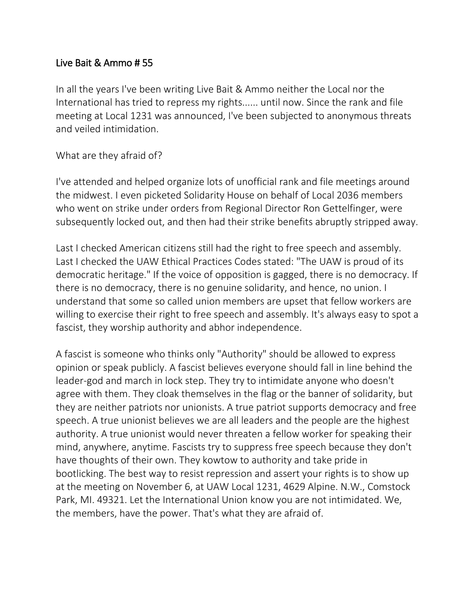## Live Bait & Ammo # 55

In all the years I've been writing Live Bait & Ammo neither the Local nor the International has tried to repress my rights...... until now. Since the rank and file meeting at Local 1231 was announced, I've been subjected to anonymous threats and veiled intimidation.

## What are they afraid of?

I've attended and helped organize lots of unofficial rank and file meetings around the midwest. I even picketed Solidarity House on behalf of Local 2036 members who went on strike under orders from Regional Director Ron Gettelfinger, were subsequently locked out, and then had their strike benefits abruptly stripped away.

Last I checked American citizens still had the right to free speech and assembly. Last I checked the UAW Ethical Practices Codes stated: "The UAW is proud of its democratic heritage." If the voice of opposition is gagged, there is no democracy. If there is no democracy, there is no genuine solidarity, and hence, no union. I understand that some so called union members are upset that fellow workers are willing to exercise their right to free speech and assembly. It's always easy to spot a fascist, they worship authority and abhor independence.

A fascist is someone who thinks only "Authority" should be allowed to express opinion or speak publicly. A fascist believes everyone should fall in line behind the leader-god and march in lock step. They try to intimidate anyone who doesn't agree with them. They cloak themselves in the flag or the banner of solidarity, but they are neither patriots nor unionists. A true patriot supports democracy and free speech. A true unionist believes we are all leaders and the people are the highest authority. A true unionist would never threaten a fellow worker for speaking their mind, anywhere, anytime. Fascists try to suppress free speech because they don't have thoughts of their own. They kowtow to authority and take pride in bootlicking. The best way to resist repression and assert your rights is to show up at the meeting on November 6, at UAW Local 1231, 4629 Alpine. N.W., Comstock Park, MI. 49321. Let the International Union know you are not intimidated. We, the members, have the power. That's what they are afraid of.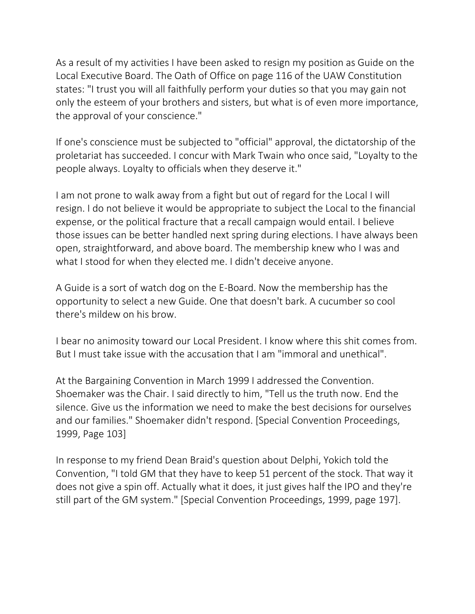As a result of my activities I have been asked to resign my position as Guide on the Local Executive Board. The Oath of Office on page 116 of the UAW Constitution states: "I trust you will all faithfully perform your duties so that you may gain not only the esteem of your brothers and sisters, but what is of even more importance, the approval of your conscience."

If one's conscience must be subjected to "official" approval, the dictatorship of the proletariat has succeeded. I concur with Mark Twain who once said, "Loyalty to the people always. Loyalty to officials when they deserve it."

I am not prone to walk away from a fight but out of regard for the Local I will resign. I do not believe it would be appropriate to subject the Local to the financial expense, or the political fracture that a recall campaign would entail. I believe those issues can be better handled next spring during elections. I have always been open, straightforward, and above board. The membership knew who I was and what I stood for when they elected me. I didn't deceive anyone.

A Guide is a sort of watch dog on the E-Board. Now the membership has the opportunity to select a new Guide. One that doesn't bark. A cucumber so cool there's mildew on his brow.

I bear no animosity toward our Local President. I know where this shit comes from. But I must take issue with the accusation that I am "immoral and unethical".

At the Bargaining Convention in March 1999 I addressed the Convention. Shoemaker was the Chair. I said directly to him, "Tell us the truth now. End the silence. Give us the information we need to make the best decisions for ourselves and our families." Shoemaker didn't respond. [Special Convention Proceedings, 1999, Page 103]

In response to my friend Dean Braid's question about Delphi, Yokich told the Convention, "I told GM that they have to keep 51 percent of the stock. That way it does not give a spin off. Actually what it does, it just gives half the IPO and they're still part of the GM system." [Special Convention Proceedings, 1999, page 197].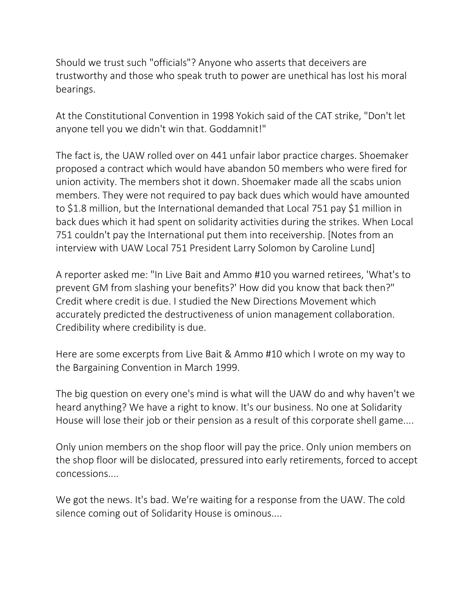Should we trust such "officials"? Anyone who asserts that deceivers are trustworthy and those who speak truth to power are unethical has lost his moral bearings.

At the Constitutional Convention in 1998 Yokich said of the CAT strike, "Don't let anyone tell you we didn't win that. Goddamnit!"

The fact is, the UAW rolled over on 441 unfair labor practice charges. Shoemaker proposed a contract which would have abandon 50 members who were fired for union activity. The members shot it down. Shoemaker made all the scabs union members. They were not required to pay back dues which would have amounted to \$1.8 million, but the International demanded that Local 751 pay \$1 million in back dues which it had spent on solidarity activities during the strikes. When Local 751 couldn't pay the International put them into receivership. [Notes from an interview with UAW Local 751 President Larry Solomon by Caroline Lund]

A reporter asked me: "In Live Bait and Ammo #10 you warned retirees, 'What's to prevent GM from slashing your benefits?' How did you know that back then?" Credit where credit is due. I studied the New Directions Movement which accurately predicted the destructiveness of union management collaboration. Credibility where credibility is due.

Here are some excerpts from Live Bait & Ammo #10 which I wrote on my way to the Bargaining Convention in March 1999.

The big question on every one's mind is what will the UAW do and why haven't we heard anything? We have a right to know. It's our business. No one at Solidarity House will lose their job or their pension as a result of this corporate shell game....

Only union members on the shop floor will pay the price. Only union members on the shop floor will be dislocated, pressured into early retirements, forced to accept concessions....

We got the news. It's bad. We're waiting for a response from the UAW. The cold silence coming out of Solidarity House is ominous....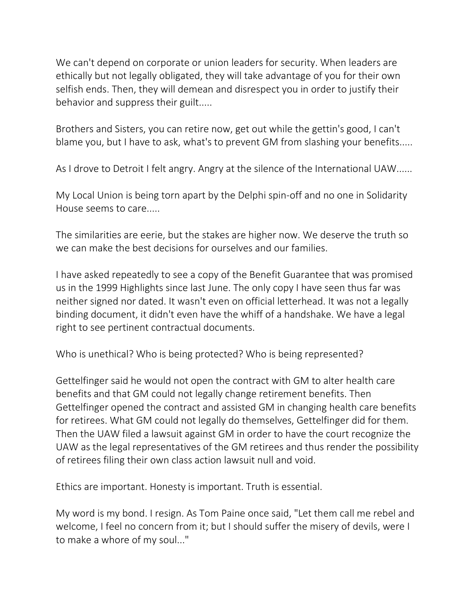We can't depend on corporate or union leaders for security. When leaders are ethically but not legally obligated, they will take advantage of you for their own selfish ends. Then, they will demean and disrespect you in order to justify their behavior and suppress their guilt.....

Brothers and Sisters, you can retire now, get out while the gettin's good, I can't blame you, but I have to ask, what's to prevent GM from slashing your benefits.....

As I drove to Detroit I felt angry. Angry at the silence of the International UAW......

My Local Union is being torn apart by the Delphi spin-off and no one in Solidarity House seems to care.....

The similarities are eerie, but the stakes are higher now. We deserve the truth so we can make the best decisions for ourselves and our families.

I have asked repeatedly to see a copy of the Benefit Guarantee that was promised us in the 1999 Highlights since last June. The only copy I have seen thus far was neither signed nor dated. It wasn't even on official letterhead. It was not a legally binding document, it didn't even have the whiff of a handshake. We have a legal right to see pertinent contractual documents.

Who is unethical? Who is being protected? Who is being represented?

Gettelfinger said he would not open the contract with GM to alter health care benefits and that GM could not legally change retirement benefits. Then Gettelfinger opened the contract and assisted GM in changing health care benefits for retirees. What GM could not legally do themselves, Gettelfinger did for them. Then the UAW filed a lawsuit against GM in order to have the court recognize the UAW as the legal representatives of the GM retirees and thus render the possibility of retirees filing their own class action lawsuit null and void.

Ethics are important. Honesty is important. Truth is essential.

My word is my bond. I resign. As Tom Paine once said, "Let them call me rebel and welcome, I feel no concern from it; but I should suffer the misery of devils, were I to make a whore of my soul..."